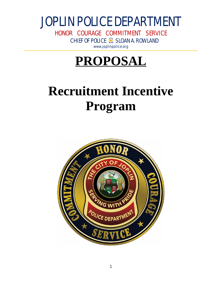HONOR COURAGE COMMITMENT SERVICE CHIEF OF POLICE SLOAN A. ROWLAND [www.joplinpolice.org](http://www.joplinpolice.org)

# **PROPOSAL**

# **Recruitment Incentive Program**

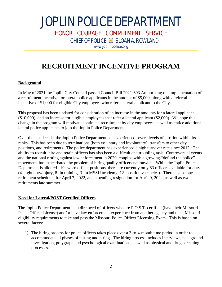HONOR COURAGE COMMITMENT SERVICE

CHIEF OF POLICE SLOAN A. ROWLAND

[www.joplinpolice.org](http://www.joplinpolice.org)

## **RECRUITMENT INCENTIVE PROGRAM**

#### **Background**

In May of 2021 the Joplin City Council passed Council Bill 2021-603 Authorizing the implementation of a recruitment incentive for lateral police applicants in the amount of \$5,000, along with a referral incentive of \$1,000 for eligible City employees who refer a lateral applicant to the City.

This proposal has been updated for consideration of an increase in the amounts for a lateral applicant (\$10,000), and an increase for eligible employees that refer a lateral applicant (\$2,000). We hope this change in the program will motivate continued recruitment by city employees, as well as entice additional lateral police applicants to join the Joplin Police Department.

Over the last decade, the Joplin Police Department has experienced severe levels of attrition within its ranks. This has been due to terminations (both voluntary and involuntary), transfers to other city positions, and retirements. The police department has experienced a high turnover rate since 2012. The ability to recruit, hire and retain officers has also been a difficult and troubling task. Controversial events and the national rioting against law enforcement in 2020, coupled with a growing "defund the police" movement, has exacerbated the problem of hiring quality officers nationwide. While the Joplin Police Department is allotted 110 sworn officer positions, there are currently only 83 officers available for duty (4- light duty/injury, 8- in training, 3- in MSSU academy, 12- position vacancies). There is also one retirement scheduled for April 7, 2022, and a pending resignation for April 9, 2022, as well as two retirements late summer.

#### **Need for Lateral/POST Certified Officers**

The Joplin Police Department is in dire need of officers who are P.O.S.T. certified (have their Missouri Peace Officer License) and/or have law enforcement experience from another agency and meet Missouri eligibility requirements to take and pass the Missouri Police Officer Licensing Exam. This is based on several facets:

1) The hiring process for police officers takes place over a 3-to-4-month time period in order to accommodate all phases of testing and hiring. The hiring process includes interviews, background investigation, polygraph and psychological examinations, as well as physical and drug screening processes.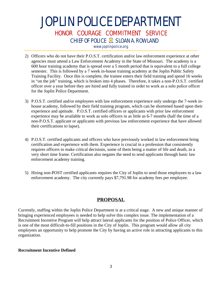## JOPLIN POLICE DEPARTMENT HONOR COURAGE COMMITMENT SERVICE CHIEF OF POLICE SLOAN A. ROWLAND [www.joplinpolice.org](http://www.joplinpolice.org)

- 2) Officers who do not have their P.O.S.T. certification and/or law enforcement experience at other agencies must attend a Law Enforcement Academy in the State of Missouri. The academy is a 600 hour training academy that is spread over a 5 month period that is equivalent to a full college semester. This is followed by a 7 week in-house training academy at the Joplin Public Safety Training Facility. Once this is complete, the trainee enters their field training and spend 16 weeks in "on the job" training, which is broken into 4 phases. Therefore, it takes a non-P.O.S.T. certified officer over a year before they are hired and fully trained in order to work as a solo police officer for the Joplin Police Department.
- 3) P.O.S.T. certified and/or employees with law enforcement experience only undergo the 7-week inhouse academy, followed by their field training program, which can be shortened based upon their experience and aptitude. P.O.S.T. certified officers or applicants with prior law enforcement experience may be available to work as solo officers in as little as 6-7 months (half the time of a non-P.O.S.T. applicant or applicants with previous law enforcement experience that have allowed their certifications to lapse).
- 4) P.O.S.T. certified applicants and officers who have previously worked in law enforcement bring certification and experience with them. Experience is crucial in a profession that consistently requires officers to make critical decisions, some of them being a matter of life and death, in a very short time frame. Certification also negates the need to send applicants through basic law enforcement academy training.
- 5) Hiring non-POST certified applicants requires the City of Joplin to send those employees to a law enforcement academy. The city currently pays \$7,791.98 for academy fees per employee.

#### **PROPOSAL**

Currently, staffing within the Joplin Police Department is at a critical stage. A new and unique manner of bringing experienced employees is needed to help solve this complex issue. The implementation of a Recruitment Incentive Program will help attract lateral applicants for the position of Police Officer, which is one of the most difficult-to-fill positions in the City of Joplin. This program would allow all city employees an opportunity to help promote the City by having an active role in attracting applicants to this organization.

#### **Recruitment Incentive Defined**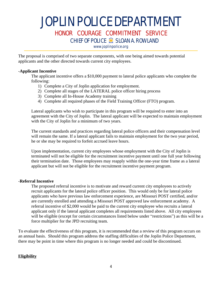### HONOR COURAGE COMMITMENT SERVICE

CHIEF OF POLICE SLOAN A. ROWLAND

[www.joplinpolice.org](http://www.joplinpolice.org)

The proposal is comprised of two separate components, with one being aimed towards potential applicants and the other directed towards current city employees.

#### -**Applicant Incentive**

The applicant incentive offers a \$10,000 payment to lateral police applicants who complete the following:

- 1) Complete a City of Joplin application for employment.
- 2) Complete all stages of the LATERAL police officer hiring process
- 3) Complete all In-House Academy training
- 4) Complete all required phases of the Field Training Officer (FTO) program.

Lateral applicants who wish to participate in this program will be required to enter into an agreement with the City of Joplin. The lateral applicant will be expected to maintain employment with the City of Joplin for a minimum of two years.

The current standards and practices regarding lateral police officers and their compensation level will remain the same. If a lateral applicant fails to maintain employment for the two year period, he or she may be required to forfeit accrued leave hours.

Upon implementation, current city employees whose employment with the City of Joplin is terminated will not be eligible for the recruitment incentive payment until one full year following their termination date. Those employees may reapply within the one-year time frame as a lateral applicant but will not be eligible for the recruitment incentive payment program.

#### -**Referral Incentive**

The proposed referral incentive is to motivate and reward current city employees to actively recruit applicants for the lateral police officer position. This would only be for lateral police applicants who have previous law enforcement experience, are Missouri POST certified, and/or are currently enrolled and attending a Missouri POST approved law enforcement academy. A referral incentive of \$2,000 would be paid to the current city employee who recruits a lateral applicant only if the lateral applicant completes all requirements listed above. All city employees will be eligible (except for certain circumstances listed below under "restrictions") as this will be a force multiplier for the JPD recruiting team.

To evaluate the effectiveness of this program, it is recommended that a review of this program occurs on an annual basis. Should this program address the staffing difficulties of the Joplin Police Department, there may be point in time where this program is no longer needed and could be discontinued.

#### **Eligibility**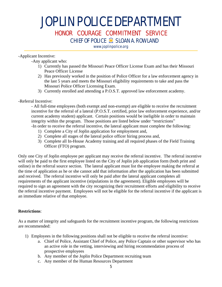HONOR COURAGE COMMITMENT SERVICE

CHIEF OF POLICE SLOAN A. ROWLAND

[www.joplinpolice.org](http://www.joplinpolice.org)

#### -Applicant Incentive:

-Any applicant who:

- 1) Currently has passed the Missouri Peace Officer License Exam and has their Missouri Peace Officer License
- 2) Has previously worked in the position of Police Officer for a law enforcement agency in the last 5 years and meets the Missouri eligibility requirements to take and pass the Missouri Police Officer Licensing Exam.
- 3) Currently enrolled and attending a P.O.S.T. approved law enforcement academy.

-Referral Incentive:

- All full-time employees (both exempt and non-exempt) are eligible to receive the recruitment incentive for the referral of a lateral (P.O.S.T. certified, prior law enforcement experience, and/or current academy student) applicant. Certain positions would be ineligible in order to maintain integrity within the program. Those positions are listed below under "restrictions" -In order to receive the referral incentive, the lateral applicant must complete the following:

- 1) Complete a City of Joplin application for employment and,
- 2) Complete all stages of the lateral police officer hiring process and,
- 3) Complete all In-House Academy training and all required phases of the Field Training Officer (FTO) program.

Only one City of Joplin employee per applicant may receive the referral incentive. The referral incentive will only be paid to the first employee listed on the City of Joplin job application form (both print and online) in the referral source section. The lateral applicant must list the employee making the referral at the time of application as he or she cannot add that information after the application has been submitted and received. The referral incentive will only be paid after the lateral applicant completes all requirements of the applicant incentive (stipulations in the agreement). Eligible employees will be required to sign an agreement with the city recognizing their recruitment efforts and eligibility to receive the referral incentive payment. Employees will not be eligible for the referral incentive if the applicant is an immediate relative of that employee.

#### **Restrictions**:

As a matter of integrity and safeguards for the recruitment incentive program, the following restrictions are recommended:

- 1) Employees in the following positions shall not be eligible to receive the referral incentive:
	- a. Chief of Police, Assistant Chief of Police, any Police Captain or other supervisor who has an active role in the vetting, interviewing and hiring recommendation process of prospective employees
	- b. Any member of the Joplin Police Department recruiting team
	- c. Any member of the Human Resources Department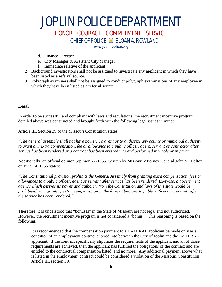### HONOR COURAGE COMMITMENT SERVICE

CHIEF OF POLICE SLOAN A. ROWLAND

[www.joplinpolice.org](http://www.joplinpolice.org)

- d. Finance Director
- e. City Manager & Assistant City Manager
- f. Immediate relative of the applicant
- 2) Background investigators shall not be assigned to investigate any applicant in which they have been listed as a referral source.
- 3) Polygraph examiners shall not be assigned to conduct polygraph examinations of any employee in which they have been listed as a referral source.

#### **Legal**

In order to be successful and compliant with laws and regulations, the recruitment incentive program detailed above was constructed and brought forth with the following legal issues in mind:

Article III, Section 39 of the Missouri Constitution states:

*"The general assembly shall not have power: To grant or to authorize any county or municipal authority to grant any extra compensation, fee or allowance to a public officer, agent, servant or contractor after service has been rendered or a contract has been entered into and performed in whole or in part"*

Additionally, an official opinion (opinion 72-1955) written by Missouri Attorney General John M. Dalton on June 14, 1955 states:

*"The Constitutional provision prohibits the General Assembly from granting extra compensation, fees or allowances to a public officer, agent or servant after service has been rendered. Likewise, a government agency which derives its power and authority from the Constitution and laws of this state would be prohibited from granting extra ·compensation in the form of bonuses to public officers or servants after the service has been rendered."*

Therefore, it is understood that "bonuses" in the State of Missouri are not legal and not authorized. However, the recruitment incentive program is not considered a "bonus". This reasoning is based on the following:

1) It is recommended that the compensation payment to a LATERAL applicant be made only as a condition of an employment contract entered into between the City of Joplin and the LATERAL applicant. If the contract specifically stipulates the requirements of the applicant and all of those requirements are achieved, then the applicant has fulfilled the obligations of the contract and are entitled to the contractual compensation listed, and no more. Any additional payment above what is listed in the employment contract could be considered a violation of the Missouri Constitution Article III, section 39.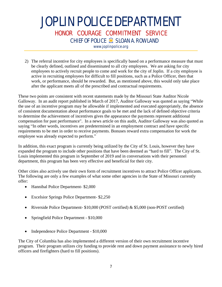## JOPLIN POLICE DEPARTMENT HONOR COURAGE COMMITMENT SERVICE CHIEF OF POLICE SLOAN A. ROWLAND

[www.joplinpolice.org](http://www.joplinpolice.org)

2) The referral incentive for city employees is specifically based on a performance measure that must be clearly defined, outlined and disseminated to all city employees. We are asking for city employees to actively recruit people to come and work for the city of Joplin. If a city employee is active in recruiting employees for difficult to fill positions, such as a Police Officer, then that work, or performance, should be rewarded. But, as mentioned above, this would only take place after the applicant meets all of the prescribed and contractual requirements.

These two points are consistent with recent statements made by the Missouri State Auditor Nicole Galloway. In an audit report published in March of 2017, Auditor Galloway was quoted as saying "While the use of an incentive program may be allowable if implemented and executed appropriately, the absence of consistent documentation about performance goals to be met and the lack of defined objective criteria to determine the achievement of incentives gives the appearance the payments represent additional compensation for past performance". In a news article on this audit, Auditor Galloway was also quoted as saying "In other words, incentives are predetermined in an employment contract and have specific requirements to be met in order to receive payments. Bonuses reward extra compensation for work the employee was already expected to perform."

In addition, this exact program is currently being utilized by the City of St. Louis, however they have expanded the program to include other positions that have been deemed as "hard to fill". The City of St. Louis implemented this program in September of 2019 and in conversations with their personnel department, this program has been very effective and beneficial for their city.

Other cities also actively use their own form of recruitment incentives to attract Police Officer applicants. The following are only a few examples of what some other agencies in the State of Missouri currently offer:

- Hannibal Police Department- \$2,000
- Excelsior Springs Police Department- \$2,250
- Riverside Police Department- \$10,000 (POST certified) & \$5,000 (non-POST certified)
- Springfield Police Department \$10,000
- Independence Police Department \$10,000

The City of Columbia has also implemented a different version of their own recruitment incentive program. Their program utilizes city funding to provide rent and down payment assistance to newly hired officers and firefighters (hard to fill positions).